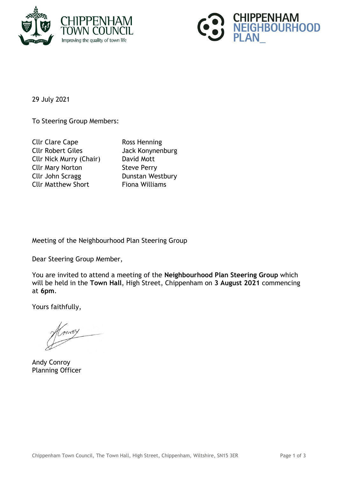



29 July 2021

To Steering Group Members:

Cllr Clare Cape Ross Henning Cllr Robert Giles Jack Konynenburg Cllr Nick Murry (Chair) David Mott Cllr Mary Norton Steve Perry Cllr John Scragg Dunstan Westbury Cllr Matthew Short Fiona Williams

Meeting of the Neighbourhood Plan Steering Group

Dear Steering Group Member,

You are invited to attend a meeting of the **Neighbourhood Plan Steering Group** which will be held in the **Town Hall**, High Street, Chippenham on **3 August 2021** commencing at **6pm**.

Yours faithfully,

Andy Conroy Planning Officer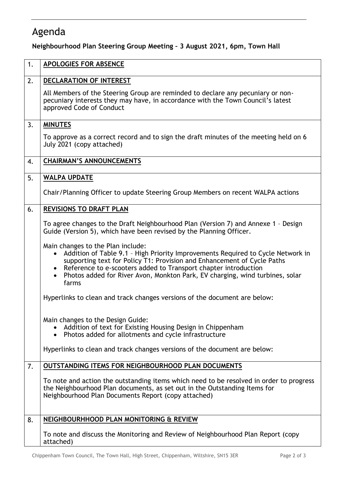## Agenda

**Neighbourhood Plan Steering Group Meeting – 3 August 2021, 6pm, Town Hall**

| 1. | <b>APOLOGIES FOR ABSENCE</b>                                                                                                                                                                                                                                                                                                                                             |
|----|--------------------------------------------------------------------------------------------------------------------------------------------------------------------------------------------------------------------------------------------------------------------------------------------------------------------------------------------------------------------------|
| 2. | DECLARATION OF INTEREST                                                                                                                                                                                                                                                                                                                                                  |
|    | All Members of the Steering Group are reminded to declare any pecuniary or non-<br>pecuniary interests they may have, in accordance with the Town Council's latest<br>approved Code of Conduct                                                                                                                                                                           |
| 3. | <b>MINUTES</b>                                                                                                                                                                                                                                                                                                                                                           |
|    | To approve as a correct record and to sign the draft minutes of the meeting held on 6<br>July 2021 (copy attached)                                                                                                                                                                                                                                                       |
| 4. | <b>CHAIRMAN'S ANNOUNCEMENTS</b>                                                                                                                                                                                                                                                                                                                                          |
| 5. | <b>WALPA UPDATE</b>                                                                                                                                                                                                                                                                                                                                                      |
|    | Chair/Planning Officer to update Steering Group Members on recent WALPA actions                                                                                                                                                                                                                                                                                          |
| 6. | <b>REVISIONS TO DRAFT PLAN</b>                                                                                                                                                                                                                                                                                                                                           |
|    | To agree changes to the Draft Neighbourhood Plan (Version 7) and Annexe 1 - Design<br>Guide (Version 5), which have been revised by the Planning Officer.                                                                                                                                                                                                                |
|    | Main changes to the Plan include:<br>Addition of Table 9.1 - High Priority Improvements Required to Cycle Network in<br>supporting text for Policy T1: Provision and Enhancement of Cycle Paths<br>Reference to e-scooters added to Transport chapter introduction<br>$\bullet$<br>Photos added for River Avon, Monkton Park, EV charging, wind turbines, solar<br>farms |
|    | Hyperlinks to clean and track changes versions of the document are below:                                                                                                                                                                                                                                                                                                |
|    | Main changes to the Design Guide:<br>Addition of text for Existing Housing Design in Chippenham<br>• Photos added for allotments and cycle infrastructure<br>Hyperlinks to clean and track changes versions of the document are below:                                                                                                                                   |
| 7. | <b>OUTSTANDING ITEMS FOR NEIGHBOURHOOD PLAN DOCUMENTS</b>                                                                                                                                                                                                                                                                                                                |
|    | To note and action the outstanding items which need to be resolved in order to progress<br>the Neighbourhood Plan documents, as set out in the Outstanding Items for<br>Neighbourhood Plan Documents Report (copy attached)                                                                                                                                              |
| 8. | NEIGHBOURHHOOD PLAN MONITORING & REVIEW                                                                                                                                                                                                                                                                                                                                  |
|    | To note and discuss the Monitoring and Review of Neighbourhood Plan Report (copy<br>attached)                                                                                                                                                                                                                                                                            |